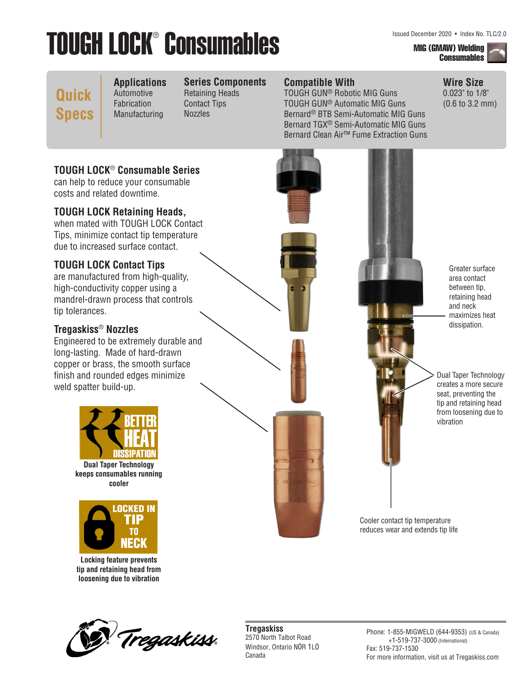# **TOUGH LOCK® Consumables Mig (GMAW) Welding And Secember 2020 • Index No. TLC/2.0**

**Consumables** 

# **Quick Specs**

**Applications** Automotive Fabrication Manufacturing

#### **Series Components** Retaining Heads

Contact Tips Nozzles

### **Compatible With**

TOUGH GUN® Robotic MIG Guns TOUGH GUN® Automatic MIG Guns Bernard® BTB Semi-Automatic MIG Guns Bernard TGX® Semi-Automatic MIG Guns Bernard Clean Air™ Fume Extraction Guns **Wire Size** 0.023" to 1/8" (0.6 to 3.2 mm)

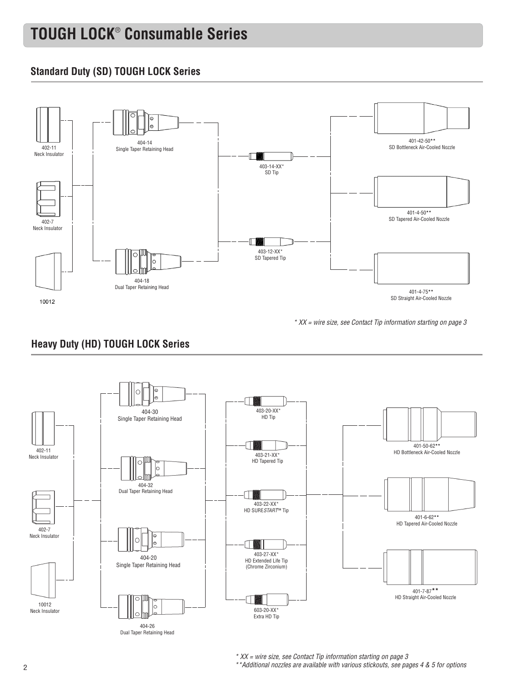# **TOUGH LOCK**®  **Consumable Series**

### **Standard Duty (SD) TOUGH LOCK Series**



*\* XX = wire size, see Contact Tip information starting on page 3*

# **Heavy Duty (HD) TOUGH LOCK Series**



*\* XX = wire size, see Contact Tip information starting on page 3 \*\*Additional nozzles are available with various stickouts, see pages 4 & 5 for options*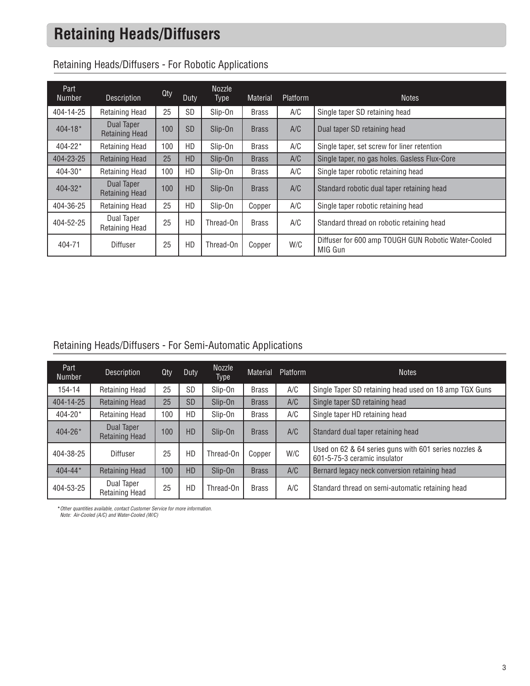# **Retaining Heads/Diffusers**

| Part<br><b>Number</b> | Description                         | Qty | Duty      | <b>Nozzle</b><br><b>Type</b> | <b>Material</b> | Platform | <b>Notes</b>                                                   |
|-----------------------|-------------------------------------|-----|-----------|------------------------------|-----------------|----------|----------------------------------------------------------------|
| 404-14-25             | <b>Retaining Head</b>               | 25  | <b>SD</b> | Slip-On                      | <b>Brass</b>    | A/C      | Single taper SD retaining head                                 |
| $404 - 18*$           | Dual Taper<br><b>Retaining Head</b> | 100 | <b>SD</b> | Slip-On                      | <b>Brass</b>    | A/C      | Dual taper SD retaining head                                   |
| $404 - 22*$           | <b>Retaining Head</b>               | 100 | HD.       | Slip-On                      | <b>Brass</b>    | A/C      | Single taper, set screw for liner retention                    |
| 404-23-25             | <b>Retaining Head</b>               | 25  | <b>HD</b> | Slip-On                      | <b>Brass</b>    | A/C      | Single taper, no gas holes. Gasless Flux-Core                  |
| $404 - 30*$           | <b>Retaining Head</b>               | 100 | HD.       | Slip-On                      | <b>Brass</b>    | A/C      | Single taper robotic retaining head                            |
| $404 - 32*$           | Dual Taper<br><b>Retaining Head</b> | 100 | <b>HD</b> | Slip-On                      | <b>Brass</b>    | A/C      | Standard robotic dual taper retaining head                     |
| 404-36-25             | <b>Retaining Head</b>               | 25  | HD.       | Slip-On                      | Copper          | A/C      | Single taper robotic retaining head                            |
| 404-52-25             | Dual Taper<br><b>Retaining Head</b> | 25  | HD        | Thread-On                    | <b>Brass</b>    | A/C      | Standard thread on robotic retaining head                      |
| 404-71                | <b>Diffuser</b>                     | 25  | HD        | Thread-On                    | Copper          | W/C      | Diffuser for 600 amp TOUGH GUN Robotic Water-Cooled<br>MIG Gun |

### Retaining Heads/Diffusers - For Robotic Applications

# Retaining Heads/Diffusers - For Semi-Automatic Applications

| Part<br><b>Number</b> | Description                         | Qty | Duty      | Nozzle<br>Type | <b>Material</b> | Platform | <b>Notes</b>                                                                          |
|-----------------------|-------------------------------------|-----|-----------|----------------|-----------------|----------|---------------------------------------------------------------------------------------|
| 154-14                | <b>Retaining Head</b>               | 25  | <b>SD</b> | Slip-On        | <b>Brass</b>    | A/C      | Single Taper SD retaining head used on 18 amp TGX Guns                                |
| 404-14-25             | <b>Retaining Head</b>               | 25  | <b>SD</b> | Slip-On        | <b>Brass</b>    | A/C      | Single taper SD retaining head                                                        |
| 404-20*               | <b>Retaining Head</b>               | 100 | HD        | Slip-On        | <b>Brass</b>    | A/C      | Single taper HD retaining head                                                        |
| $404 - 26*$           | Dual Taper<br><b>Retaining Head</b> | 100 | <b>HD</b> | Slip-On        | <b>Brass</b>    | A/C      | Standard dual taper retaining head                                                    |
| 404-38-25             | <b>Diffuser</b>                     | 25  | HD        | Thread-On      | Copper          | W/C      | Used on 62 & 64 series guns with 601 series nozzles &<br>601-5-75-3 ceramic insulator |
| $404 - 44*$           | <b>Retaining Head</b>               | 100 | <b>HD</b> | Slip-On        | <b>Brass</b>    | A/C      | Bernard legacy neck conversion retaining head                                         |
| 404-53-25             | Dual Taper<br><b>Retaining Head</b> | 25  | HD        | Thread-On      | <b>Brass</b>    | A/C      | Standard thread on semi-automatic retaining head                                      |

**\****Other quantities available, contact Customer Service for more information. Note: Air-Cooled (A/C) and Water-Cooled (W/C)*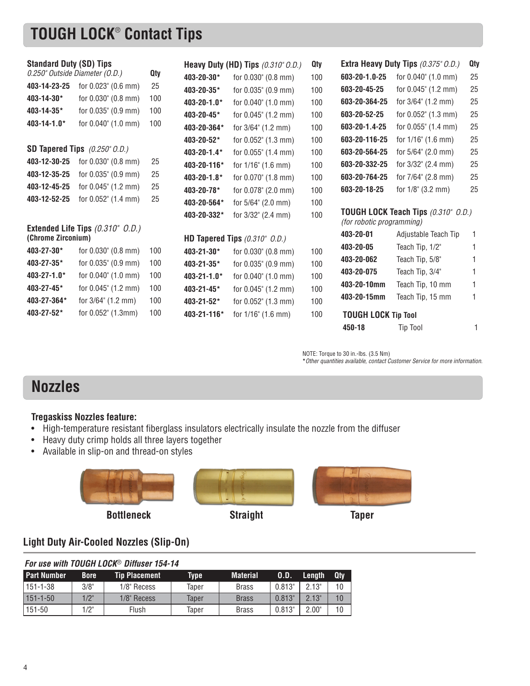# **TOUGH LOCK**®  **Contact Tips**

| <b>Standard Duty (SD) Tips</b> |                                            |            |             | Heavy Duty (HD) Tips (0.310" O.D.) | <b>Qty</b> |                                  | Extra Heavy Duty Tips (0.375" O.D.) | <b>Qty</b> |
|--------------------------------|--------------------------------------------|------------|-------------|------------------------------------|------------|----------------------------------|-------------------------------------|------------|
| 0.250" Outside Diameter (O.D.) |                                            | <b>Qty</b> | 403-20-30*  | for 0.030" (0.8 mm)                | 100        | 603-20-1.0-25                    | for 0.040" (1.0 mm)                 | 25         |
| 403-14-23-25                   | for 0.023" (0.6 mm)                        | 25         | 403-20-35*  | for 0.035" (0.9 mm)                | 100        | 603-20-45-25                     | for 0.045" (1.2 mm)                 | 25         |
| 403-14-30*                     | for 0.030" (0.8 mm)                        | 100        | 403-20-1.0* | for 0.040" (1.0 mm)                | 100        | 603-20-364-25                    | for 3/64" (1.2 mm)                  | 25         |
| 403-14-35*                     | for 0.035" (0.9 mm)                        | 100        | 403-20-45*  | for 0.045" (1.2 mm)                | 100        | 603-20-52-25                     | for 0.052" (1.3 mm)                 | 25         |
| $403 - 14 - 1.0*$              | for 0.040" (1.0 mm)                        | 100        | 403-20-364* | for $3/64$ " $(1.2 \text{ mm})$    | 100        | 603-20-1.4-25                    | for 0.055" (1.4 mm)                 | 25         |
|                                |                                            |            | 403-20-52*  | for 0.052" (1.3 mm)                | 100        | 603-20-116-25                    | for 1/16" (1.6 mm)                  | 25         |
|                                | <b>SD Tapered Tips</b> (0.250" O.D.)       |            | 403-20-1.4* | for 0.055" (1.4 mm)                | 100        | 603-20-564-25                    | for 5/64" (2.0 mm)                  | 25         |
| 403-12-30-25                   | for 0.030" (0.8 mm)                        | 25         | 403-20-116* | for $1/16$ " $(1.6$ mm)            | 100        | 603-20-332-25                    | for 3/32" (2.4 mm)                  | 25         |
| 403-12-35-25                   | for 0.035" (0.9 mm)                        | 25         | 403-20-1.8* | for 0.070" (1.8 mm)                | 100        | 603-20-764-25                    | for 7/64" (2.8 mm)                  | 25         |
| 403-12-45-25                   | for 0.045" (1.2 mm)                        | 25         | 403-20-78*  | for 0.078" (2.0 mm)                | 100        | 603-20-18-25                     | for $1/8$ " (3.2 mm)                | 25         |
| 403-12-52-25                   | for 0.052" (1.4 mm)                        | 25         | 403-20-564* | for 5/64" (2.0 mm)                 | 100        |                                  |                                     |            |
|                                |                                            |            | 403-20-332* | for 3/32" (2.4 mm)                 | 100        | <i>(for robotic programming)</i> | TOUGH LOCK Teach Tips (0.310" O.D.) |            |
| (Chrome Zirconium)             | Extended Life Tips (0.310" O.D.)           |            |             | HD Tapered Tips (0.310" O.D.)      |            | 403-20-01                        | Adjustable Teach Tip                | 1          |
| 403-27-30*                     | for 0.030" (0.8 mm)                        | 100        | 403-21-30*  |                                    | 100        | 403-20-05                        | Teach Tip, 1/2"                     |            |
| 403-27-35*                     |                                            | 100        |             | for 0.030" (0.8 mm)                |            | 403-20-062                       | Teach Tip, 5/8"                     |            |
| 403-27-1.0*                    | for 0.035" (0.9 mm)<br>for 0.040" (1.0 mm) |            | 403-21-35*  | for 0.035" (0.9 mm)                | 100        | 403-20-075                       | Teach Tip, 3/4"                     |            |
|                                |                                            | 100        | 403-21-1.0* | for 0.040" (1.0 mm)                | 100        | 403-20-10mm                      | Teach Tip, 10 mm                    | 1          |
| 403-27-45*                     | for 0.045" (1.2 mm)                        | 100        | 403-21-45*  | for 0.045" (1.2 mm)                | 100        | 403-20-15mm                      | Teach Tip, 15 mm                    | 1          |
| 403-27-364*                    | for 3/64" (1.2 mm)                         | 100        | 403-21-52*  | for 0.052" (1.3 mm)                | 100        |                                  |                                     |            |
| 403-27-52*                     | for 0.052" (1.3mm)                         | 100        | 403-21-116* | for $1/16$ " $(1.6$ mm)            | 100        | <b>TOUGH LOCK Tip Tool</b>       |                                     |            |
|                                |                                            |            |             |                                    |            | 450-18                           | Tip Tool                            | 1          |

NOTE: Torque to 30 in.-lbs. (3.5 Nm)

**\****Other quantities available, contact Customer Service for more information.*

# **Nozzles**

#### **Tregaskiss Nozzles feature:**

- High-temperature resistant fiberglass insulators electrically insulate the nozzle from the diffuser
- Heavy duty crimp holds all three layers together
- Available in slip-on and thread-on styles





**Bottleneck Straight Taper**



### **Light Duty Air-Cooled Nozzles (Slip-On)**

|                | For use with TOUGH LOCK® Diffuser 154-14 |                      |       |                 |        |        |            |  |  |  |  |  |
|----------------|------------------------------------------|----------------------|-------|-----------------|--------|--------|------------|--|--|--|--|--|
| l Part Number  | <b>Bore</b>                              | <b>Tip Placement</b> | Tvpe  | <b>Material</b> | .O.D.  | Length | <b>Qtv</b> |  |  |  |  |  |
| $151 - 1 - 38$ | 3/8"                                     | 1/8" Recess          | Taper | <b>Brass</b>    | 0.813" | 2.13"  | 10         |  |  |  |  |  |
| $151 - 1 - 50$ | $1/2$ "                                  | 1/8" Recess          | Taper | <b>Brass</b>    | 0.813" | 2.13"  | $10 \,$    |  |  |  |  |  |
| 151-50         | 1/2"                                     | Flush                | Taper | <b>Brass</b>    | 0.813" | 2.00"  | 10         |  |  |  |  |  |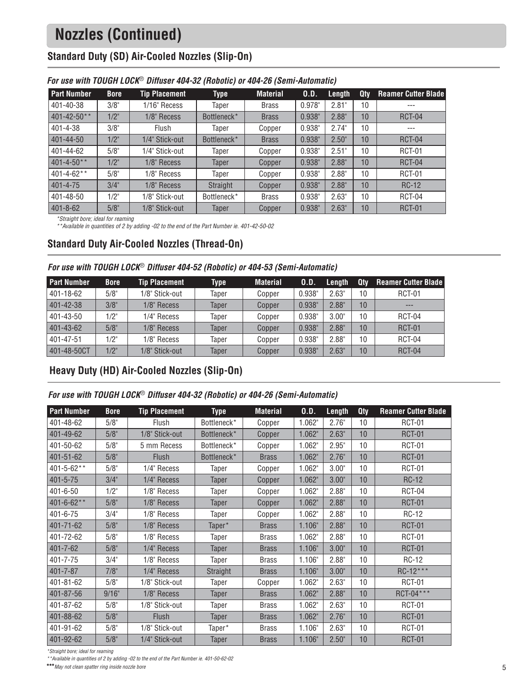# **Nozzles (Continued)**

# **Standard Duty (SD) Air-Cooled Nozzles (Slip-On)**

| <b>Part Number</b> | <b>Bore</b> | <b>Tip Placement</b> | <b>Type</b>  | <b>Material</b> | 0.D.      | Length   | Qtv | <b>Reamer Cutter Blade</b> |
|--------------------|-------------|----------------------|--------------|-----------------|-----------|----------|-----|----------------------------|
| 401-40-38          | 3/8"        | 1/16" Recess         | Taper        | <b>Brass</b>    | $0.978$ " | 2.81"    | 10  | $---$                      |
| $401 - 42 - 50**$  | $1/2$ "     | 1/8" Recess          | Bottleneck*  | <b>Brass</b>    | 0.938"    | 2.88"    | 10  | <b>RCT-04</b>              |
| 401-4-38           | 3/8"        | Flush                | Taper        | Copper          | 0.938"    | 2.74"    | 10  | $---$                      |
| 401-44-50          | $1/2$ "     | 1/4" Stick-out       | Bottleneck*  | <b>Brass</b>    | 0.938"    | 2.50"    | 10  | <b>RCT-04</b>              |
| 401-44-62          | 5/8"        | 1/4" Stick-out       | Taper        | Copper          | 0.938"    | 2.51"    | 10  | <b>RCT-01</b>              |
| $401 - 4 - 50**$   | $1/2$ "     | 1/8" Recess          | Taper        | Copper          | 0.938"    | 2.88"    | 10  | <b>RCT-04</b>              |
| $401 - 4 - 62**$   | 5/8"        | 1/8" Recess          | Taper        | Copper          | 0.938"    | $2.88$ " | 10  | <b>RCT-01</b>              |
| $401 - 4 - 75$     | 3/4"        | 1/8" Recess          | Straight     | Copper          | 0.938"    | 2.88"    | 10  | <b>RC-12</b>               |
| 401-48-50          | 1/2"        | 1/8" Stick-out       | Bottleneck*  | <b>Brass</b>    | 0.938"    | 2.63"    | 10  | RCT-04                     |
| $401 - 8 - 62$     | 5/8"        | 1/8" Stick-out       | <b>Taper</b> | Copper          | 0.938"    | 2.63"    | 10  | <b>RCT-01</b>              |

#### *For use with TOUGH LOCK*® *Diffuser 404-32 (Robotic) or 404-26 (Semi-Automatic)*

*\*Straight bore; ideal for reaming*

*\*\*Available in quantities of 2 by adding -02 to the end of the Part Number ie. 401-42-50-02*

### **Standard Duty Air-Cooled Nozzles (Thread-On)**

#### *For use with TOUGH LOCK*® *Diffuser 404-52 (Robotic) or 404-53 (Semi-Automatic)*

| <b>Part Number</b> | <b>Bore</b> | <b>Tip Placement</b> | <b>Type</b> | <b>Material</b> | <b>O.D.</b> | Length   | Qtv | <b>Reamer Cutter Blade</b> |
|--------------------|-------------|----------------------|-------------|-----------------|-------------|----------|-----|----------------------------|
| 401-18-62          | 5/8"        | 1/8" Stick-out       | Taper       | Copper          | 0.938"      | 2.63"    | 10  | <b>RCT-01</b>              |
| 401-42-38          | 3/8"        | 1/8" Recess          | Taper       | Copper          | 0.938"      | 2.88"    | 10  | $---$                      |
| 401-43-50          | 1/2"        | 1/4" Recess          | Taper       | Copper          | 0.938"      | 3.00"    | 10  | RCT-04                     |
| 401-43-62          | 5/8"        | 1/8" Recess          | Taper       | Copper          | 0.938"      | 2.88"    | 10  | <b>RCT-01</b>              |
| 401-47-51          | 1/2"        | 1/8" Recess          | Taper       | Copper          | 0.938"      | $2.88$ " | 10  | RCT-04                     |
| 401-48-50CT        | $1/2$ "     | 1/8" Stick-out       | Taper       | Copper          | 0.938"      | 2.63"    | 10  | <b>RCT-04</b>              |

### **Heavy Duty (HD) Air-Cooled Nozzles (Slip-On)**

#### *For use with TOUGH LOCK*® *Diffuser 404-32 (Robotic) or 404-26 (Semi-Automatic)*

| <b>Part Number</b> | <b>Bore</b> | <b>Tip Placement</b> | <b>Type</b>  | <b>Material</b> | 0.D.   | Length | <b>Qty</b> | <b>Reamer Cutter Blade</b> |
|--------------------|-------------|----------------------|--------------|-----------------|--------|--------|------------|----------------------------|
| 401-48-62          | 5/8"        | <b>Flush</b>         | Bottleneck*  | Copper          | 1.062" | 2.76"  | 10         | RCT-01                     |
| 401-49-62          | 5/8"        | 1/8" Stick-out       | Bottleneck*  | Copper          | 1.062" | 2.63"  | 10         | <b>RCT-01</b>              |
| 401-50-62          | 5/8"        | 5 mm Recess          | Bottleneck*  | Copper          | 1.062" | 2.95"  | 10         | RCT-01                     |
| 401-51-62          | 5/8"        | <b>Flush</b>         | Bottleneck*  | <b>Brass</b>    | 1.062" | 2.76"  | 10         | <b>RCT-01</b>              |
| 401-5-62**         | 5/8"        | 1/4" Recess          | Taper        | Copper          | 1.062" | 3.00"  | 10         | RCT-01                     |
| $401 - 5 - 75$     | 3/4"        | 1/4" Recess          | Taper        | Copper          | 1.062" | 3.00"  | 10         | <b>RC-12</b>               |
| 401-6-50           | 1/2"        | 1/8" Recess          | Taper        | Copper          | 1.062" | 2.88"  | 10         | <b>RCT-04</b>              |
| 401-6-62**         | 5/8"        | 1/8" Recess          | <b>Taper</b> | Copper          | 1.062" | 2.88"  | 10         | <b>RCT-01</b>              |
| 401-6-75           | 3/4"        | 1/8" Recess          | Taper        | Copper          | 1.062" | 2.88"  | 10         | <b>RC-12</b>               |
| 401-71-62          | 5/8"        | 1/8" Recess          | Taper*       | <b>Brass</b>    | 1.106" | 2.88"  | 10         | <b>RCT-01</b>              |
| 401-72-62          | 5/8"        | 1/8" Recess          | Taper        | <b>Brass</b>    | 1.062" | 2.88"  | 10         | RCT-01                     |
| 401-7-62           | 5/8"        | 1/4" Recess          | Taper        | <b>Brass</b>    | 1.106" | 3.00"  | 10         | <b>RCT-01</b>              |
| 401-7-75           | 3/4"        | 1/8" Recess          | Taper        | <b>Brass</b>    | 1.106" | 2.88"  | 10         | RC-12                      |
| 401-7-87           | 7/8"        | 1/4" Recess          | Straight     | <b>Brass</b>    | 1.106" | 3.00"  | 10         | RC-12***                   |
| 401-81-62          | 5/8"        | 1/8" Stick-out       | Taper        | Copper          | 1.062" | 2.63"  | 10         | <b>RCT-01</b>              |
| 401-87-56          | 9/16"       | 1/8" Recess          | <b>Taper</b> | <b>Brass</b>    | 1.062" | 2.88"  | 10         | RCT-04***                  |
| 401-87-62          | 5/8"        | 1/8" Stick-out       | Taper        | <b>Brass</b>    | 1.062" | 2.63"  | 10         | <b>RCT-01</b>              |
| 401-88-62          | 5/8"        | Flush                | Taper        | <b>Brass</b>    | 1.062" | 2.76"  | 10         | <b>RCT-01</b>              |
| 401-91-62          | 5/8"        | 1/8" Stick-out       | Taper*       | <b>Brass</b>    | 1.106" | 2.63"  | 10         | RCT-01                     |
| 401-92-62          | 5/8"        | 1/4" Stick-out       | <b>Taper</b> | <b>Brass</b>    | 1.106" | 2.50"  | 10         | <b>RCT-01</b>              |

*\*Straight bore; ideal for reaming*

*\*\*Available in quantities of 2 by adding -02 to the end of the Part Number ie. 401-50-62-02*

\*\*\**May not clean spatter ring inside nozzle bore*